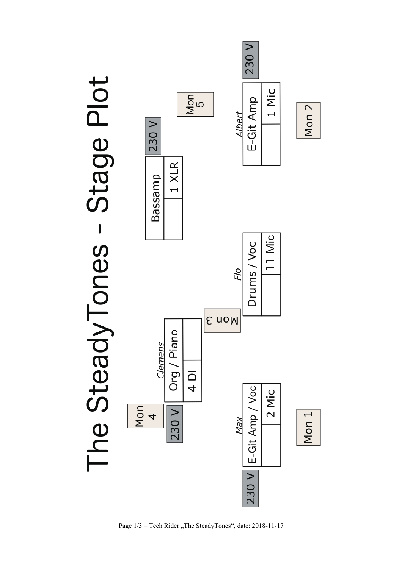

Page  $1/3$  – Tech Rider "The SteadyTones", date: 2018-11-17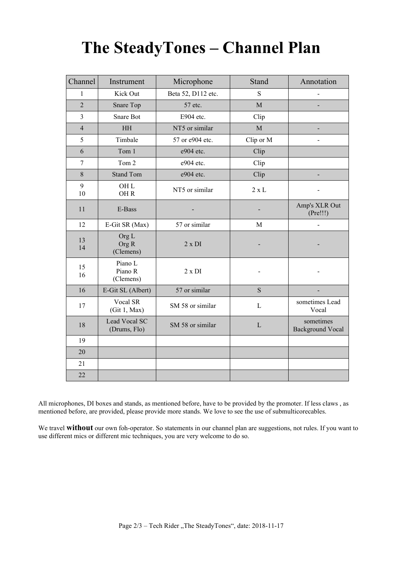# **The SteadyTones – Channel Plan**

| Channel        | Instrument                             | Microphone         | Stand        | Annotation                           |
|----------------|----------------------------------------|--------------------|--------------|--------------------------------------|
| $\mathbf{1}$   | Kick Out                               | Beta 52, D112 etc. | S            |                                      |
| $\overline{2}$ | Snare Top                              | 57 etc.            | M            |                                      |
| 3              | Snare Bot                              | E904 etc.          | Clip         |                                      |
| $\overline{4}$ | <b>HH</b>                              | NT5 or similar     | M            |                                      |
| 5              | Timbale                                | 57 or e904 etc.    | Clip or M    |                                      |
| 6              | Tom 1                                  | e904 etc.          | Clip         |                                      |
| $\overline{7}$ | Tom 2                                  | e904 etc.          | Clip         |                                      |
| 8              | <b>Stand Tom</b>                       | e904 etc.          | Clip         |                                      |
| 9<br>10        | OH <sub>L</sub><br>OHR                 | NT5 or similar     | $2 \times L$ |                                      |
| 11             | E-Bass                                 |                    |              | Amp's XLR Out<br>(Pre!!!)            |
| 12             | E-Git SR (Max)                         | 57 or similar      | M            | $\overline{a}$                       |
| 13<br>14       | Org <sub>L</sub><br>Org R<br>(Clemens) | $2 \times DI$      |              |                                      |
| 15<br>16       | Piano L<br>Piano R<br>(Clemens)        | $2 \times DI$      |              |                                      |
| 16             | E-Git SL (Albert)                      | 57 or similar      | S            |                                      |
| 17             | Vocal SR<br>(Git 1, Max)               | SM 58 or similar   | L            | sometimes Lead<br>Vocal              |
| 18             | Lead Vocal SC<br>(Drums, Flo)          | SM 58 or similar   | L            | sometimes<br><b>Background Vocal</b> |
| 19             |                                        |                    |              |                                      |
| 20             |                                        |                    |              |                                      |
| 21             |                                        |                    |              |                                      |
| 22             |                                        |                    |              |                                      |

All microphones, DI boxes and stands, as mentioned before, have to be provided by the promoter. If less claws , as mentioned before, are provided, please provide more stands. We love to see the use of submulticorecables.

We travel **without** our own foh-operator. So statements in our channel plan are suggestions, not rules. If you want to use different mics or different mic techniques, you are very welcome to do so.